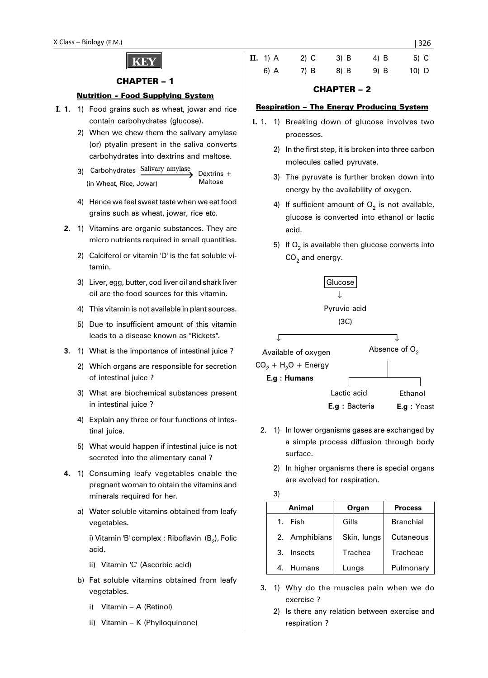# **KEY**

## CHAPTER – 1

#### Nutrition - Food Supplying System

- **I. 1.** 1) Food grains such as wheat, jowar and rice contain carbohydrates (glucose).
	- 2) When we chew them the salivary amylase (or) ptyalin present in the saliva converts carbohydrates into dextrins and maltose.
	- 3) Carbohydrates Salivary amylase (in Wheat, Rice, Jowar) Dextrins + Maltose
	- 4) Hence we feel sweet taste when we eat food grains such as wheat, jowar, rice etc.
	- **2.** 1) Vitamins are organic substances. They are micro nutrients required in small quantities.
		- 2) Calciferol or vitamin 'D' is the fat soluble vitamin.
		- 3) Liver, egg, butter, cod liver oil and shark liver oil are the food sources for this vitamin.
		- 4) This vitamin is not available in plant sources.
		- 5) Due to insufficient amount of this vitamin leads to a disease known as "Rickets".
	- **3.** 1) What is the importance of intestinal juice ?
		- 2) Which organs are responsible for secretion of intestinal juice ?
		- 3) What are biochemical substances present in intestinal juice ?
		- 4) Explain any three or four functions of intestinal juice.
		- 5) What would happen if intestinal juice is not secreted into the alimentary canal ?
	- **4.** 1) Consuming leafy vegetables enable the pregnant woman to obtain the vitamins and minerals required for her.
		- a) Water soluble vitamins obtained from leafy vegetables.

i) Vitamin 'B' complex : Riboflavin  $(B_2)$ , Folic acid.

- ii) Vitamin 'C' (Ascorbic acid)
- b) Fat soluble vitamins obtained from leafy vegetables.
	- i) Vitamin A (Retinol)
	- ii) Vitamin K (Phylloquinone)

| <b>II.</b> 1) A | $2)$ C | 3) B | $4)$ B | $5)$ C  |
|-----------------|--------|------|--------|---------|
| 6) A            | 7) B   | 8) B | 9) B   | $10)$ D |

# CHAPTER – 2

#### Respiration – The Energy Producing System

- **I.** 1. 1) Breaking down of glucose involves two processes.
	- 2) In the first step, it is broken into three carbon molecules called pyruvate.
	- 3) The pyruvate is further broken down into energy by the availability of oxygen.
	- 4) If sufficient amount of  $O<sub>2</sub>$  is not available, glucose is converted into ethanol or lactic acid.
	- 5) If  $O<sub>2</sub>$  is available then glucose converts into  $CO<sub>2</sub>$  and energy.





- 2. 1) In lower organisms gases are exchanged by a simple process diffusion through body surface.
	- 2) In higher organisms there is special organs are evolved for respiration.

3)

|   | Animal        | Organ       | <b>Process</b>   |  |  |
|---|---------------|-------------|------------------|--|--|
|   | 1. Fish       | Gills       | <b>Branchial</b> |  |  |
|   | 2. Amphibians | Skin, lungs | Cutaneous        |  |  |
| 3 | Insects       | Trachea     | Tracheae         |  |  |
| 4 | Humans        | Lungs       | Pulmonary        |  |  |

- 3. 1) Why do the muscles pain when we do exercise ?
	- 2) Is there any relation between exercise and respiration ?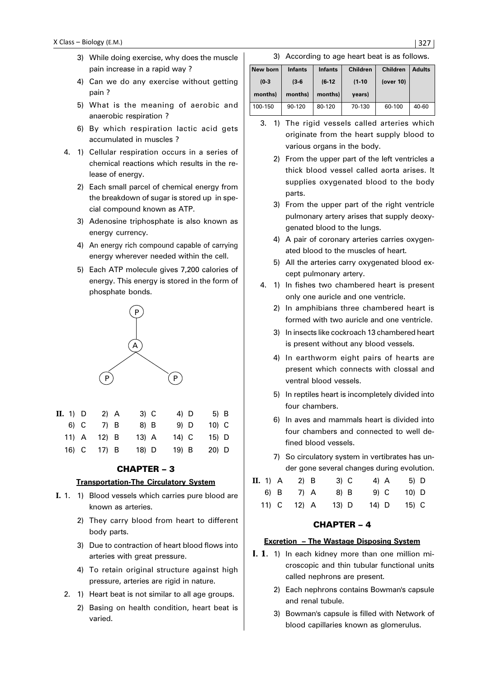- 3) While doing exercise, why does the muscle pain increase in a rapid way ?
- 4) Can we do any exercise without getting pain ?
- 5) What is the meaning of aerobic and anaerobic respiration ?
- 6) By which respiration lactic acid gets accumulated in muscles ?
- 4. 1) Cellular respiration occurs in a series of chemical reactions which results in the release of energy.
	- 2) Each small parcel of chemical energy from the breakdown of sugar is stored up in special compound known as ATP.
	- 3) Adenosine triphosphate is also known as energy currency.
	- 4) An energy rich compound capable of carrying energy wherever needed within the cell.
	- 5) Each ATP molecule gives 7,200 calories of energy. This energy is stored in the form of phosphate bonds.



| $\mathbf{II.}$ 1) $\mathbf{D}$ | $2)$ A  | $3)$ C  | 4) D   | 5) B    |
|--------------------------------|---------|---------|--------|---------|
| 6) C                           | 7) B    | 8) B    | 9) D   | $10)$ C |
| $11)$ A                        | $12)$ B | $13)$ A | 14) C  | $15)$ D |
| 16) C                          | $17)$ B | 18) D   | $19$ B | 20) D   |

# CHAPTER – 3

# **Transportation-The Circulatory System**

- **I.** 1. 1) Blood vessels which carries pure blood are known as arteries.
	- 2) They carry blood from heart to different body parts.
	- 3) Due to contraction of heart blood flows into arteries with great pressure.
	- 4) To retain original structure against high pressure, arteries are rigid in nature.
	- 2. 1) Heart beat is not similar to all age groups.
		- 2) Basing on health condition, heart beat is varied.

#### 3) According to age heart beat is as follows.

| New born | <b>Infants</b> | <b>Infants</b> | <b>Children</b> | <b>Children</b> | <b>Adults</b> |
|----------|----------------|----------------|-----------------|-----------------|---------------|
| $(0-3)$  | $(3-6)$        | $(6-12)$       | $(1-10)$        | (over 10)       |               |
| months)  | months)        |                |                 |                 |               |
|          |                | months)        | years)          |                 |               |

- 3. 1) The rigid vessels called arteries which originate from the heart supply blood to various organs in the body.
	- 2) From the upper part of the left ventricles a thick blood vessel called aorta arises. It supplies oxygenated blood to the body parts.
	- 3) From the upper part of the right ventricle pulmonary artery arises that supply deoxygenated blood to the lungs.
	- 4) A pair of coronary arteries carries oxygenated blood to the muscles of heart.
	- 5) All the arteries carry oxygenated blood except pulmonary artery.
- 4. 1) In fishes two chambered heart is present only one auricle and one ventricle.
	- 2) In amphibians three chambered heart is formed with two auricle and one ventricle.
	- 3) In insects like cockroach 13 chambered heart is present without any blood vessels.
	- 4) In earthworm eight pairs of hearts are present which connects with clossal and ventral blood vessels.
	- 5) In reptiles heart is incompletely divided into four chambers.
	- 6) In aves and mammals heart is divided into four chambers and connected to well defined blood vessels.
	- 7) So circulatory system in vertibrates has under gone several changes during evolution.

| <b>II.</b> 1) A | $2)$ B    | $3)$ C  | 4) A  | 5) D  |  |
|-----------------|-----------|---------|-------|-------|--|
|                 | 6) B 7) A | 8) B    | 9) C  | 10) D |  |
| 11) C           | 12) A     | $13)$ D | 14) D | 15) C |  |

# CHAPTER – 4

#### **Excretion – The Wastage Disposing System**

- I. 1**.** 1) In each kidney more than one million microscopic and thin tubular functional units called nephrons are present.
	- 2) Each nephrons contains Bowman's capsule and renal tubule.
	- 3) Bowman's capsule is filled with Network of blood capillaries known as glomerulus.